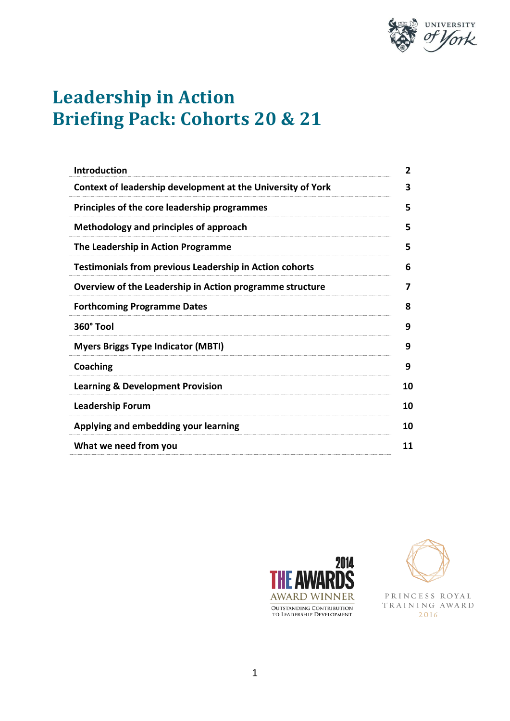

# **Leadership in Action Briefing Pack: Cohorts 20 & 21**

| <b>Introduction</b>                                            | 2  |
|----------------------------------------------------------------|----|
| Context of leadership development at the University of York    | 3  |
| Principles of the core leadership programmes                   | 5  |
| Methodology and principles of approach                         | 5  |
| The Leadership in Action Programme                             | 5  |
| <b>Testimonials from previous Leadership in Action cohorts</b> | 6  |
| Overview of the Leadership in Action programme structure       | 7  |
| <b>Forthcoming Programme Dates</b>                             | 8  |
| 360° Tool                                                      | 9  |
| <b>Myers Briggs Type Indicator (MBTI)</b>                      | 9  |
| Coaching                                                       | 9  |
| <b>Learning &amp; Development Provision</b>                    | 10 |
| <b>Leadership Forum</b>                                        | 10 |
| Applying and embedding your learning                           | 10 |
| What we need from you                                          | 11 |





PRINCESS ROYAL TRAINING AWARD 2016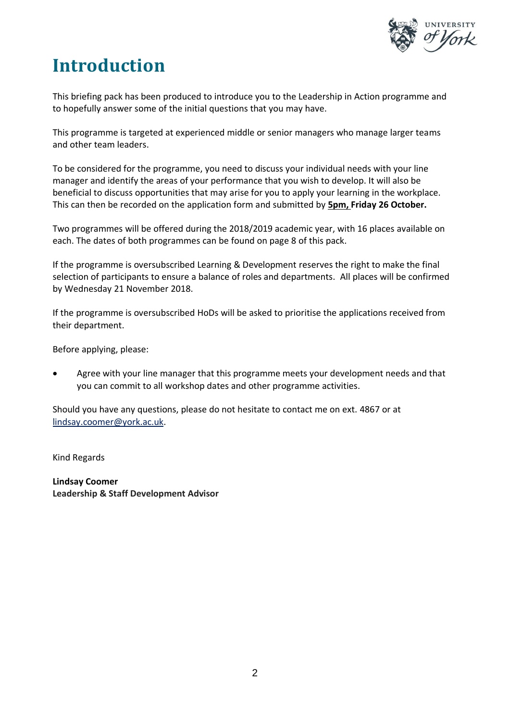

# **Introduction**

This briefing pack has been produced to introduce you to the Leadership in Action programme and to hopefully answer some of the initial questions that you may have.

This programme is targeted at experienced middle or senior managers who manage larger teams and other team leaders.

To be considered for the programme, you need to discuss your individual needs with your line manager and identify the areas of your performance that you wish to develop. It will also be beneficial to discuss opportunities that may arise for you to apply your learning in the workplace. This can then be recorded on the application form and submitted by **5pm, Friday 26 October.**

Two programmes will be offered during the 2018/2019 academic year, with 16 places available on each. The dates of both programmes can be found on page 8 of this pack.

If the programme is oversubscribed Learning & Development reserves the right to make the final selection of participants to ensure a balance of roles and departments. All places will be confirmed by Wednesday 21 November 2018.

If the programme is oversubscribed HoDs will be asked to prioritise the applications received from their department.

Before applying, please:

 Agree with your line manager that this programme meets your development needs and that you can commit to all workshop dates and other programme activities.

Should you have any questions, please do not hesitate to contact me on ext. 4867 or at lindsay.coomer@york.ac.uk.

Kind Regards

**Lindsay Coomer Leadership & Staff Development Advisor**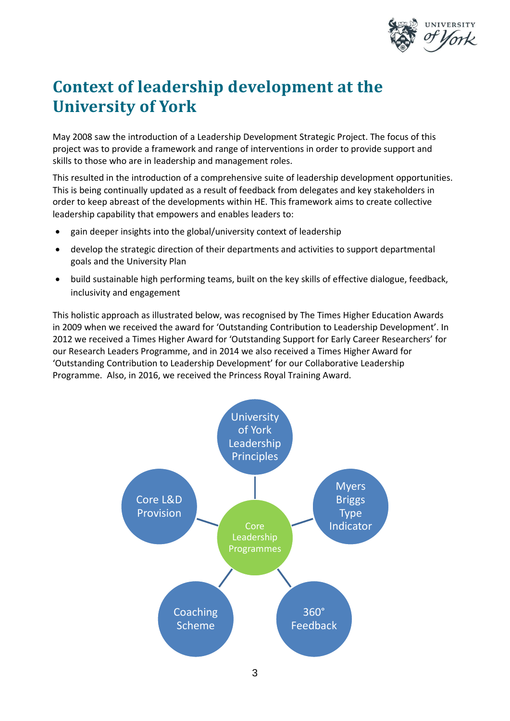

## **Context of leadership development at the University of York**

May 2008 saw the introduction of a Leadership Development Strategic Project. The focus of this project was to provide a framework and range of interventions in order to provide support and skills to those who are in leadership and management roles.

This resulted in the introduction of a comprehensive suite of leadership development opportunities. This is being continually updated as a result of feedback from delegates and key stakeholders in order to keep abreast of the developments within HE. This framework aims to create collective leadership capability that empowers and enables leaders to:

- gain deeper insights into the global/university context of leadership
- develop the strategic direction of their departments and activities to support departmental goals and the University Plan
- build sustainable high performing teams, built on the key skills of effective dialogue, feedback, inclusivity and engagement

This holistic approach as illustrated below, was recognised by The Times Higher Education Awards in 2009 when we received the award for 'Outstanding Contribution to Leadership Development'. In 2012 we received a Times Higher Award for 'Outstanding Support for Early Career Researchers' for our Research Leaders Programme, and in 2014 we also received a Times Higher Award for 'Outstanding Contribution to Leadership Development' for our Collaborative Leadership Programme. Also, in 2016, we received the Princess Royal Training Award.

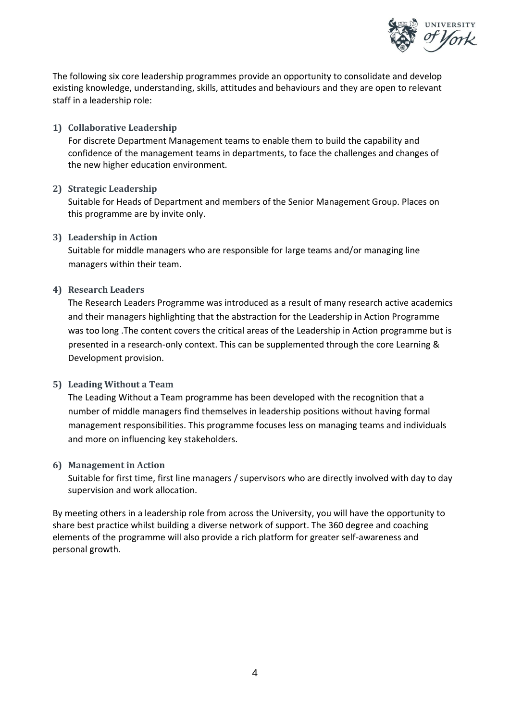

The following six core leadership programmes provide an opportunity to consolidate and develop existing knowledge, understanding, skills, attitudes and behaviours and they are open to relevant staff in a leadership role:

**1) Collaborative Leadership** 

For discrete Department Management teams to enable them to build the capability and confidence of the management teams in departments, to face the challenges and changes of the new higher education environment.

**2) Strategic Leadership** 

Suitable for Heads of Department and members of the Senior Management Group. Places on this programme are by invite only.

**3) Leadership in Action**

Suitable for middle managers who are responsible for large teams and/or managing line managers within their team.

**4) Research Leaders**

The Research Leaders Programme was introduced as a result of many research active academics and their managers highlighting that the abstraction for the Leadership in Action Programme was too long .The content covers the critical areas of the Leadership in Action programme but is presented in a research-only context. This can be supplemented through the core Learning & Development provision.

#### **5) Leading Without a Team**

The Leading Without a Team programme has been developed with the recognition that a number of middle managers find themselves in leadership positions without having formal management responsibilities. This programme focuses less on managing teams and individuals and more on influencing key stakeholders.

#### **6) Management in Action**

Suitable for first time, first line managers / supervisors who are directly involved with day to day supervision and work allocation.

By meeting others in a leadership role from across the University, you will have the opportunity to share best practice whilst building a diverse network of support. The 360 degree and coaching elements of the programme will also provide a rich platform for greater self-awareness and personal growth.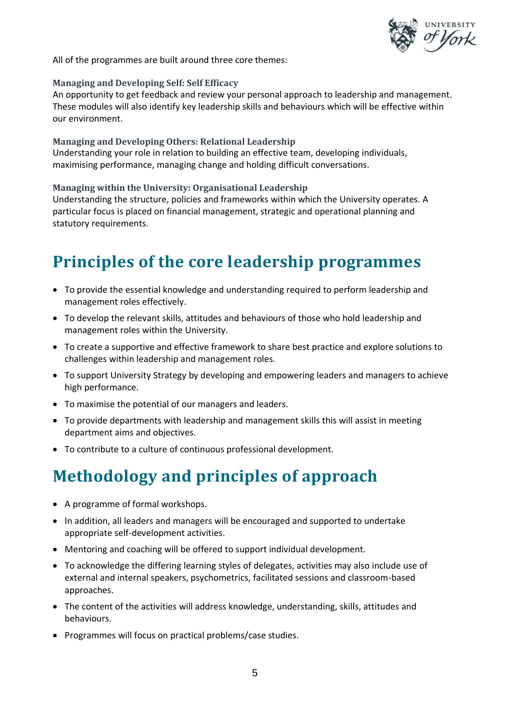

All of the programmes are built around three core themes:

#### **Managing and Developing Self: Self Efficacy**

An opportunity to get feedback and review your personal approach to leadership and management. These modules will also identify key leadership skills and behaviours which will be effective within our environment.

#### **Managing and Developing Others: Relational Leadership**

Understanding your role in relation to building an effective team, developing individuals, maximising performance, managing change and holding difficult conversations.

#### **Managing within the University: Organisational Leadership**

Understanding the structure, policies and frameworks within which the University operates. A particular focus is placed on financial management, strategic and operational planning and statutory requirements.

### **Principles of the core leadership programmes**

- To provide the essential knowledge and understanding required to perform leadership and management roles effectively.
- To develop the relevant skills, attitudes and behaviours of those who hold leadership and management roles within the University.
- To create a supportive and effective framework to share best practice and explore solutions to challenges within leadership and management roles.
- To support University Strategy by developing and empowering leaders and managers to achieve high performance.
- To maximise the potential of our managers and leaders.
- To provide departments with leadership and management skills this will assist in meeting department aims and objectives.
- To contribute to a culture of continuous professional development.

## **Methodology and principles of approach**

- A programme of formal workshops.
- In addition, all leaders and managers will be encouraged and supported to undertake appropriate self-development activities.
- Mentoring and coaching will be offered to support individual development.
- To acknowledge the differing learning styles of delegates, activities may also include use of external and internal speakers, psychometrics, facilitated sessions and classroom-based approaches.
- The content of the activities will address knowledge, understanding, skills, attitudes and behaviours.
- Programmes will focus on practical problems/case studies.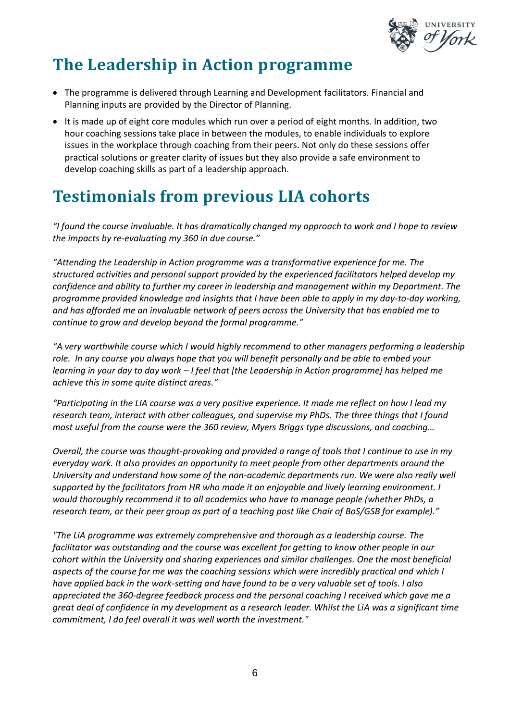

### **The Leadership in Action programme**

- The programme is delivered through Learning and Development facilitators. Financial and Planning inputs are provided by the Director of Planning.
- It is made up of eight core modules which run over a period of eight months. In addition, two hour coaching sessions take place in between the modules, to enable individuals to explore issues in the workplace through coaching from their peers. Not only do these sessions offer practical solutions or greater clarity of issues but they also provide a safe environment to develop coaching skills as part of a leadership approach.

## **Testimonials from previous LIA cohorts**

*"I found the course invaluable. It has dramatically changed my approach to work and I hope to review the impacts by re-evaluating my 360 in due course."*

*"Attending the Leadership in Action programme was a transformative experience for me. The structured activities and personal support provided by the experienced facilitators helped develop my confidence and ability to further my career in leadership and management within my Department. The programme provided knowledge and insights that I have been able to apply in my day-to-day working, and has afforded me an invaluable network of peers across the University that has enabled me to continue to grow and develop beyond the formal programme."*

*"A very worthwhile course which I would highly recommend to other managers performing a leadership role. In any course you always hope that you will benefit personally and be able to embed your learning in your day to day work – I feel that [the Leadership in Action programme] has helped me achieve this in some quite distinct areas."* 

*"Participating in the LIA course was a very positive experience. It made me reflect on how I lead my research team, interact with other colleagues, and supervise my PhDs. The three things that I found most useful from the course were the 360 review, Myers Briggs type discussions, and coaching…* 

*Overall, the course was thought-provoking and provided a range of tools that I continue to use in my everyday work. It also provides an opportunity to meet people from other departments around the University and understand how some of the non-academic departments run. We were also really well supported by the facilitators from HR who made it an enjoyable and lively learning environment. I would thoroughly recommend it to all academics who have to manage people (whether PhDs, a research team, or their peer group as part of a teaching post like Chair of BoS/GSB for example)."* 

*"The LiA programme was extremely comprehensive and thorough as a leadership course. The facilitator was outstanding and the course was excellent for getting to know other people in our cohort within the University and sharing experiences and similar challenges. One the most beneficial aspects of the course for me was the coaching sessions which were incredibly practical and which I have applied back in the work-setting and have found to be a very valuable set of tools. I also appreciated the 360-degree feedback process and the personal coaching I received which gave me a great deal of confidence in my development as a research leader. Whilst the LiA was a significant time commitment, I do feel overall it was well worth the investment."*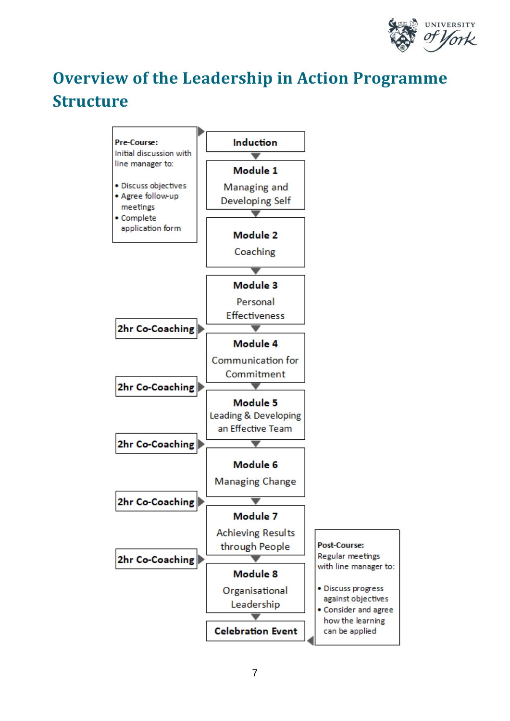

# **Overview of the Leadership in Action Programme Structure**

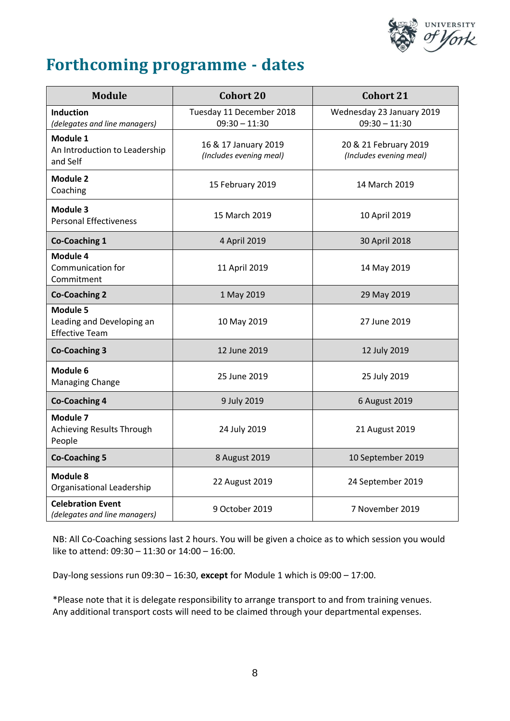

### **Forthcoming programme - dates**

| <b>Module</b>                                                  | <b>Cohort 20</b>                                | Cohort 21                                        |
|----------------------------------------------------------------|-------------------------------------------------|--------------------------------------------------|
| <b>Induction</b><br>(delegates and line managers)              | Tuesday 11 December 2018<br>$09:30 - 11:30$     | Wednesday 23 January 2019<br>$09:30 - 11:30$     |
| Module 1<br>An Introduction to Leadership<br>and Self          | 16 & 17 January 2019<br>(Includes evening meal) | 20 & 21 February 2019<br>(Includes evening meal) |
| <b>Module 2</b><br>Coaching                                    | 15 February 2019                                | 14 March 2019                                    |
| Module 3<br><b>Personal Effectiveness</b>                      | 15 March 2019                                   | 10 April 2019                                    |
| <b>Co-Coaching 1</b>                                           | 4 April 2019                                    | 30 April 2018                                    |
| Module 4<br>Communication for<br>Commitment                    | 11 April 2019                                   | 14 May 2019                                      |
| <b>Co-Coaching 2</b>                                           | 1 May 2019                                      | 29 May 2019                                      |
| Module 5<br>Leading and Developing an<br><b>Effective Team</b> | 10 May 2019                                     | 27 June 2019                                     |
| <b>Co-Coaching 3</b>                                           | 12 June 2019                                    | 12 July 2019                                     |
| Module 6<br>Managing Change                                    | 25 June 2019                                    | 25 July 2019                                     |
| <b>Co-Coaching 4</b>                                           | 9 July 2019                                     | 6 August 2019                                    |
| Module 7<br><b>Achieving Results Through</b><br>People         | 24 July 2019                                    | 21 August 2019                                   |
| <b>Co-Coaching 5</b>                                           | 8 August 2019                                   | 10 September 2019                                |
| Module 8<br>Organisational Leadership                          | 22 August 2019                                  | 24 September 2019                                |
| <b>Celebration Event</b><br>(delegates and line managers)      | 9 October 2019                                  | 7 November 2019                                  |

NB: All Co-Coaching sessions last 2 hours. You will be given a choice as to which session you would like to attend: 09:30 – 11:30 or 14:00 – 16:00.

Day-long sessions run 09:30 – 16:30, **except** for Module 1 which is 09:00 – 17:00.

\*Please note that it is delegate responsibility to arrange transport to and from training venues. Any additional transport costs will need to be claimed through your departmental expenses.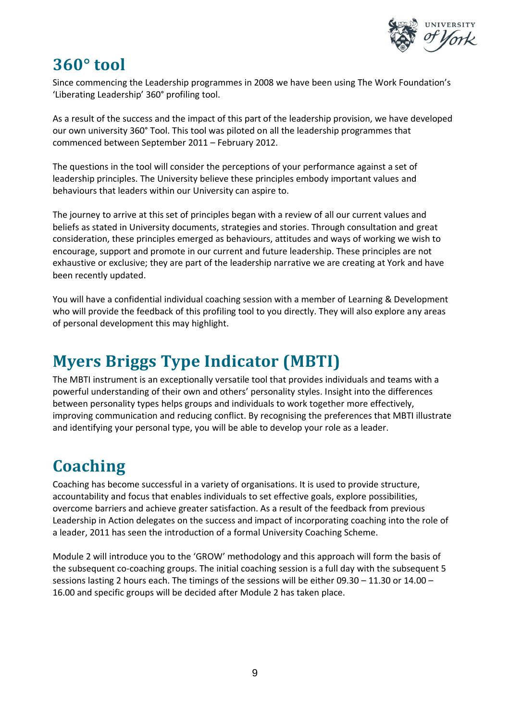

#### **360° tool**

Since commencing the Leadership programmes in 2008 we have been using The Work Foundation's 'Liberating Leadership' 360° profiling tool.

As a result of the success and the impact of this part of the leadership provision, we have developed our own university 360° Tool. This tool was piloted on all the leadership programmes that commenced between September 2011 – February 2012.

The questions in the tool will consider the perceptions of your performance against a set of leadership principles. The University believe these principles embody important values and behaviours that leaders within our University can aspire to.

The journey to arrive at this set of principles began with a review of all our current values and beliefs as stated in University documents, strategies and stories. Through consultation and great consideration, these principles emerged as behaviours, attitudes and ways of working we wish to encourage, support and promote in our current and future leadership. These principles are not exhaustive or exclusive; they are part of the leadership narrative we are creating at York and have been recently updated.

You will have a confidential individual coaching session with a member of Learning & Development who will provide the feedback of this profiling tool to you directly. They will also explore any areas of personal development this may highlight.

### **Myers Briggs Type Indicator (MBTI)**

The MBTI instrument is an exceptionally versatile tool that provides individuals and teams with a powerful understanding of their own and others' personality styles. Insight into the differences between personality types helps groups and individuals to work together more effectively, improving communication and reducing conflict. By recognising the preferences that MBTI illustrate and identifying your personal type, you will be able to develop your role as a leader.

# **Coaching**

Coaching has become successful in a variety of organisations. It is used to provide structure, accountability and focus that enables individuals to set effective goals, explore possibilities, overcome barriers and achieve greater satisfaction. As a result of the feedback from previous Leadership in Action delegates on the success and impact of incorporating coaching into the role of a leader, 2011 has seen the introduction of a formal University Coaching Scheme.

Module 2 will introduce you to the 'GROW' methodology and this approach will form the basis of the subsequent co-coaching groups. The initial coaching session is a full day with the subsequent 5 sessions lasting 2 hours each. The timings of the sessions will be either 09.30 – 11.30 or 14.00 – 16.00 and specific groups will be decided after Module 2 has taken place.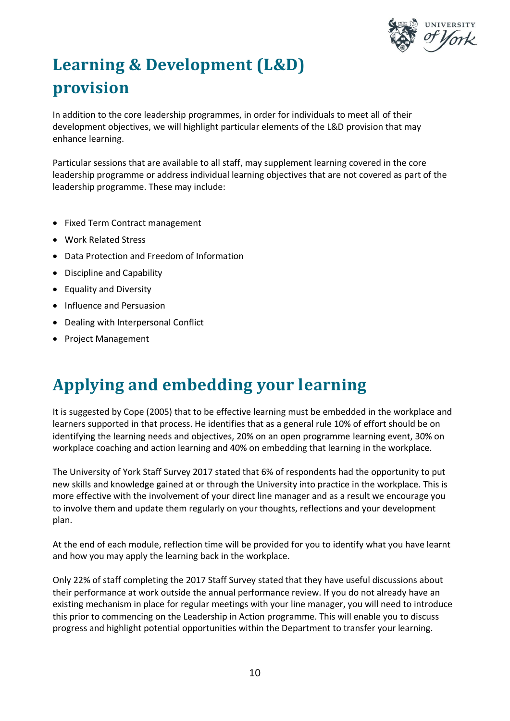

# **Learning & Development (L&D) provision**

In addition to the core leadership programmes, in order for individuals to meet all of their development objectives, we will highlight particular elements of the L&D provision that may enhance learning.

Particular sessions that are available to all staff, may supplement learning covered in the core leadership programme or address individual learning objectives that are not covered as part of the leadership programme. These may include:

- Fixed Term Contract management
- Work Related Stress
- Data Protection and Freedom of Information
- Discipline and Capability
- Equality and Diversity
- Influence and Persuasion
- Dealing with Interpersonal Conflict
- Project Management

### **Applying and embedding your learning**

It is suggested by Cope (2005) that to be effective learning must be embedded in the workplace and learners supported in that process. He identifies that as a general rule 10% of effort should be on identifying the learning needs and objectives, 20% on an open programme learning event, 30% on workplace coaching and action learning and 40% on embedding that learning in the workplace.

The University of York Staff Survey 2017 stated that 6% of respondents had the opportunity to put new skills and knowledge gained at or through the University into practice in the workplace. This is more effective with the involvement of your direct line manager and as a result we encourage you to involve them and update them regularly on your thoughts, reflections and your development plan.

At the end of each module, reflection time will be provided for you to identify what you have learnt and how you may apply the learning back in the workplace.

Only 22% of staff completing the 2017 Staff Survey stated that they have useful discussions about their performance at work outside the annual performance review. If you do not already have an existing mechanism in place for regular meetings with your line manager, you will need to introduce this prior to commencing on the Leadership in Action programme. This will enable you to discuss progress and highlight potential opportunities within the Department to transfer your learning.